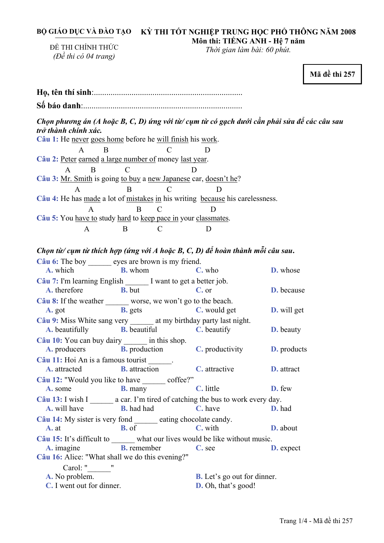## BỘ GIÁO DỤC VÀ ĐÀO TẠO – KỲ THI TÔT NGHIỆP TRUNG HỌC PHỐ THÔNG NĂM 2008 **Môn thi: TIẾNG ANH - Hệ 7 năm**

ĐỀ THI CHÍNH THỨC *(Đề thi có 04 trang)* 

*Thời gian làm bài: 60 phút.* 

**Mã đề thi 257** 

**Họ, tên thí sinh**:.......................................................................... **<sup>S</sup>ố báo danh**:............................................................................. .. Chọn phương án (A hoặc B, C, D) ứng với từ/ cụm từ có gạch dưới cần phải sửa để các câu sau *trở thành chính xác.*  **Câu 1:** He never goes home before he will finish his work. A B C D **Câu 2:** Peter earned a large number of money last year. A B C D **Câu 3:** Mr. Smith is going to buy a new Japanese car, doesn't he? A B C D **Câu 4:** He has made a lot of mistakes in his writing because his carelessness. A B C D **Câu 5:** You have to study hard to keep pace in your classmates. A B C D Chọn từ/ cụm từ thích hợp (ứng với A hoặc B, C, D) để hoàn thành mỗi câu sau. **Câu 6:** The boy eyes are brown is my friend. **A.** which **B.** whom **C.** who **D.** whose **Câu 7:** I'm learning English I want to get a better job. **A.** therefore **B.** but **C.** or **D.** because **Câu 8:** If the weather worse, we won't go to the beach. **A.** got **B.** gets **C.** would get **D.** will get **Câu 9:** Miss White sang very at my birthday party last night. **A.** beautifully **B.** beautiful **C.** beautify **D.** beauty **Câu 10:** You can buy dairy in this shop. **A.** producers **B.** production **C.** productivity **D.** products Câu 11: Hoi An is a famous tourist **A.** attracted **B.** attraction **C.** attractive **D.** attract Câu 12: "Would you like to have coffee?" **A.** some **B.** many **C.** little **D.** few Câu 13: I wish I \_\_\_\_\_\_\_ a car. I'm tired of catching the bus to work every day. **A.** will have **B.** had had **C.** have **D.** had **Câu 14:** My sister is very fond eating chocolate candy. **A. at B.** of **C.** with **D.** about **Câu 15:** It's difficult to what our lives would be like without music. **A.** imagine **B.** remember **C.** see **D.** expect **Câu 16:** Alice: "What shall we do this evening?" Carol: " **A.** No problem. **B.** Let's go out for dinner. **C.** I went out for dinner. **D.** Oh, that's good!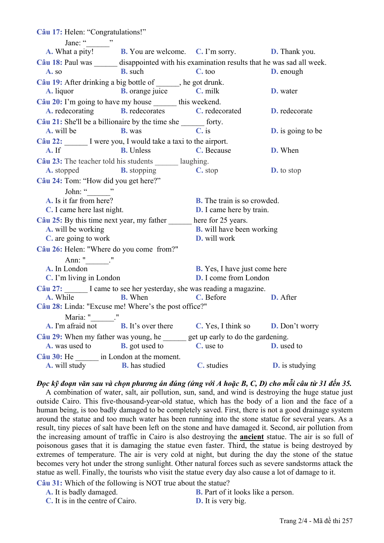**Câu 17:** Helen: "Congratulations!" Jane: " $\cdots$ " **A.** What a pity! **B.** You are welcome. **C.** I'm sorry. **D.** Thank you. **Câu 18:** Paul was disappointed with his examination results that he was sad all week. **A.** so **B.** such **C.** too **D.** enough **Câu 19:** After drinking a big bottle of \_\_\_\_\_\_, he got drunk. **A.** liquor **B.** orange juice **C.** milk **D.** water Câu 20: I'm going to have my house this weekend. **A.** redecorating **B.** redecorates **C.** redecorated **D.** redecorate **Câu 21:** She'll be a billionaire by the time she \_\_\_\_\_\_ forty. **A.** will be **B.** was **C.** is **D.** is going to be Câu 22: I were you, I would take a taxi to the airport. **A.** If **B.** Unless **C.** Because **D.** When **Câu 23:** The teacher told his students \_\_\_\_\_\_ laughing. **A.** stopped **B.** stopping **C.** stop **D.** to stop **Câu 24:** Tom: "How did you get here?" John: "\_\_\_\_\_\_\_"<br>A. Is it far from here? **B.** The train is so crowded. **C.** I came here last night. **D.** I came here by train. **Câu 25:** By this time next year, my father here for 25 years. **A.** will be working **B.** will have been working **C.** are going to work **D.** will work **Câu 26:** Helen: "Where do you come from?" Ann: " **A.** In London **B.** Yes, I have just come here **C.** I'm living in London **D.** I come from London Câu 27: I came to see her yesterday, she was reading a magazine. **A.** While **B.** When **C.** Before **D.** After **Câu 28:** Linda: "Excuse me! Where's the post office?" Maria: " \_\_\_\_." **A.** I'm afraid not **B.** It's over there **C.** Yes, I think so **D.** Don't worry **Câu 29:** When my father was young, he \_\_\_\_\_\_ get up early to do the gardening. **A.** was used to **B.** got used to **C.** use to **D.** used to **Câu 30:** He \_\_\_\_\_\_ in London at the moment. **A.** will study **B.** has studied **C.** studies **D.** is studying

Đọc kỹ đoạn văn sau và chọn phương án đúng (ứng với A hoặc B, C, D) cho mỗi câu từ 31 đến 35. A combination of water, salt, air pollution, sun, sand, and wind is destroying the huge statue just outside Cairo. This five-thousand-year-old statue, which has the body of a lion and the face of a human being, is too badly damaged to be completely saved. First, there is not a good drainage system around the statue and too much water has been running into the stone statue for several years. As a result, tiny pieces of salt have been left on the stone and have damaged it. Second, air pollution from the increasing amount of traffic in Cairo is also destroying the **ancient** statue. The air is so full of poisonous gases that it is damaging the statue even faster. Third, the statue is being destroyed by extremes of temperature. The air is very cold at night, but during the day the stone of the statue becomes very hot under the strong sunlight. Other natural forces such as severe sandstorms attack the statue as well. Finally, the tourists who visit the statue every day also cause a lot of damage to it.

**Câu 31:** Which of the following is NOT true about the statue?

- 
- **A.** It is badly damaged. **B.** Part of it looks like a person.
- **C.** It is in the centre of Cairo. **D.** It is very big.
-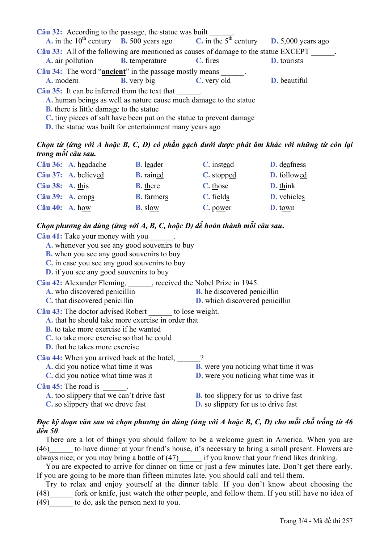| Câu 32: According to the passage, the statue was built                                                                                                                                                                                       | <b>A.</b> in the 10 <sup>th</sup> century <b>B.</b> 500 years ago <b>C.</b> in the $5^{th}$ century <b>D.</b> 5,000 years ago |             |                    |  |  |  |
|----------------------------------------------------------------------------------------------------------------------------------------------------------------------------------------------------------------------------------------------|-------------------------------------------------------------------------------------------------------------------------------|-------------|--------------------|--|--|--|
| Câu 33: All of the following are mentioned as causes of damage to the statue EXCEPT<br><b>A.</b> air pollution <b>B.</b> temperature                                                                                                         |                                                                                                                               | C. fires    | <b>D.</b> tourists |  |  |  |
| Câu 34: The word " <b>ancient</b> " in the passage mostly means                                                                                                                                                                              |                                                                                                                               |             |                    |  |  |  |
| A. modern                                                                                                                                                                                                                                    | <b>B.</b> very big                                                                                                            | C. very old | D. beautiful       |  |  |  |
| Câu 35: It can be inferred from the text that<br>A, human beings as well as nature cause much damage to the statue<br><b>B.</b> there is little damage to the statue<br>C, tiny pieces of salt have been put on the statue to prevent damage |                                                                                                                               |             |                    |  |  |  |

**D.** the statue was built for entertainment many years ago

## Chon từ (ứng với A hoặc B, C, D) có phần gạch dưới được phát âm khác với những từ còn lại *trong mỗi câu sau.*

|                  | Câu 36: A. headache | <b>B.</b> leader  | C. instead | <b>D.</b> deafness |
|------------------|---------------------|-------------------|------------|--------------------|
|                  | Câu 37: A. believed | <b>B.</b> rained  | C. stopped | D. followed        |
| Câu 38: A. this  |                     | <b>B.</b> there   | C. those   | <b>D.</b> think    |
| Câu 39: A. crops |                     | <b>B.</b> farmers | C. fields  | D. vehicles        |
| Câu $40:$ A. how |                     | <b>B.</b> slow    | $C.$ power | <b>D.</b> town     |

## *Chọn phương án đúng (ứng với A, B, C, hoặc D) để hoàn thành mỗi câu sau***.**

| Câu 41: Take your money with you                             |                                              |  |  |  |  |
|--------------------------------------------------------------|----------------------------------------------|--|--|--|--|
| A. whenever you see any good souvenirs to buy                |                                              |  |  |  |  |
| <b>B.</b> when you see any good souvenirs to buy             |                                              |  |  |  |  |
| C. in case you see any good souvenirs to buy                 |                                              |  |  |  |  |
| <b>D.</b> if you see any good souvenirs to buy               |                                              |  |  |  |  |
| Câu 42: Alexander Fleming, ceceived the Nobel Prize in 1945. |                                              |  |  |  |  |
| A. who discovered penicillin                                 | <b>B.</b> he discovered penicillin           |  |  |  |  |
| C. that discovered penicillin                                | <b>D.</b> which discovered penicillin        |  |  |  |  |
| Câu 43: The doctor advised Robert _______ to lose weight.    |                                              |  |  |  |  |
| A, that he should take more exercise in order that           |                                              |  |  |  |  |
| <b>B.</b> to take more exercise if he wanted                 |                                              |  |  |  |  |
| C, to take more exercise so that he could                    |                                              |  |  |  |  |
| <b>D.</b> that he takes more exercise                        |                                              |  |  |  |  |
| Câu 44: When you arrived back at the hotel, ?                |                                              |  |  |  |  |
| A. did you notice what time it was                           | <b>B.</b> were you noticing what time it was |  |  |  |  |
| C. did you notice what time was it                           | <b>D.</b> were you noticing what time was it |  |  |  |  |
| Câu 45: The road is                                          |                                              |  |  |  |  |
| A, too slippery that we can't drive fast                     | <b>B.</b> too slippery for us to drive fast  |  |  |  |  |
| C. so slippery that we drove fast                            | <b>D.</b> so slippery for us to drive fast   |  |  |  |  |
|                                                              |                                              |  |  |  |  |

## Đọc kỹ đoạn văn sau và chọn phương án đúng (ứng với A hoặc B, C, D) cho mỗi chỗ trống từ 46 *đến 50*.

There are a lot of things you should follow to be a welcome guest in America. When you are (46)\_\_\_\_\_\_ to have dinner at your friend's house, it's necessary to bring a small present. Flowers are always nice; or you may bring a bottle of (47)\_\_\_\_\_\_ if you know that your friend likes drinking.

You are expected to arrive for dinner on time or just a few minutes late. Don't get there early. If you are going to be more than fifteen minutes late, you should call and tell them.

Try to relax and enjoy yourself at the dinner table. If you don't know about choosing the (48)\_\_\_\_\_\_ fork or knife, just watch the other people, and follow them. If you still have no idea of (49) to do, ask the person next to you.